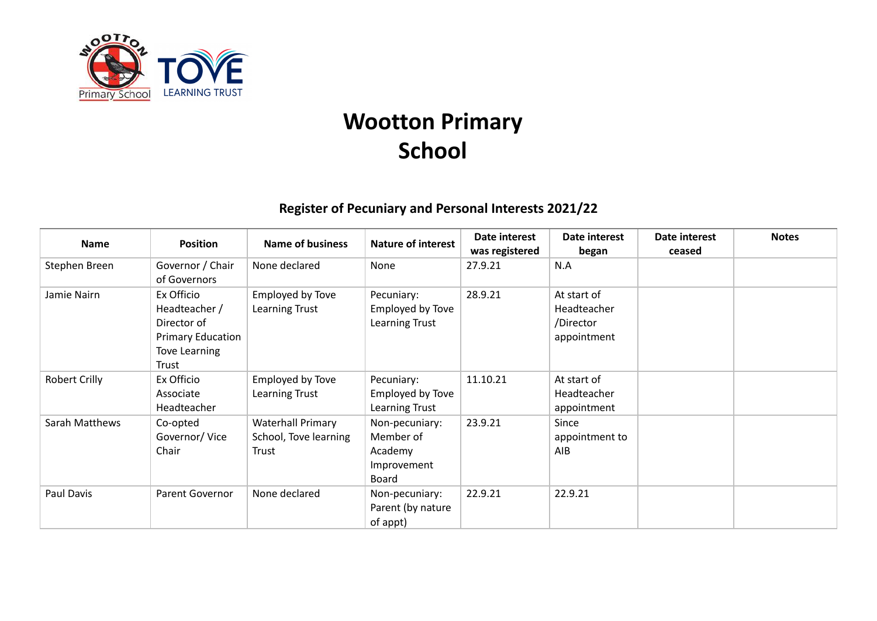

## **Wootton Primary School**

## **Register of Pecuniary and Personal Interests 2021/22**

| <b>Name</b>          | <b>Position</b>                                                                                         | <b>Name of business</b>                                    | <b>Nature of interest</b>                                      | Date interest<br>was registered | Date interest<br>began                                 | Date interest<br>ceased | <b>Notes</b> |
|----------------------|---------------------------------------------------------------------------------------------------------|------------------------------------------------------------|----------------------------------------------------------------|---------------------------------|--------------------------------------------------------|-------------------------|--------------|
| Stephen Breen        | Governor / Chair<br>of Governors                                                                        | None declared                                              | None                                                           | 27.9.21                         | N.A                                                    |                         |              |
| Jamie Nairn          | Ex Officio<br>Headteacher /<br>Director of<br><b>Primary Education</b><br><b>Tove Learning</b><br>Trust | Employed by Tove<br>Learning Trust                         | Pecuniary:<br>Employed by Tove<br>Learning Trust               | 28.9.21                         | At start of<br>Headteacher<br>/Director<br>appointment |                         |              |
| <b>Robert Crilly</b> | Ex Officio<br>Associate<br>Headteacher                                                                  | Employed by Tove<br>Learning Trust                         | Pecuniary:<br>Employed by Tove<br>Learning Trust               | 11.10.21                        | At start of<br>Headteacher<br>appointment              |                         |              |
| Sarah Matthews       | Co-opted<br>Governor/Vice<br>Chair                                                                      | <b>Waterhall Primary</b><br>School, Tove learning<br>Trust | Non-pecuniary:<br>Member of<br>Academy<br>Improvement<br>Board | 23.9.21                         | Since<br>appointment to<br>AIB                         |                         |              |
| Paul Davis           | Parent Governor                                                                                         | None declared                                              | Non-pecuniary:<br>Parent (by nature<br>of appt)                | 22.9.21                         | 22.9.21                                                |                         |              |